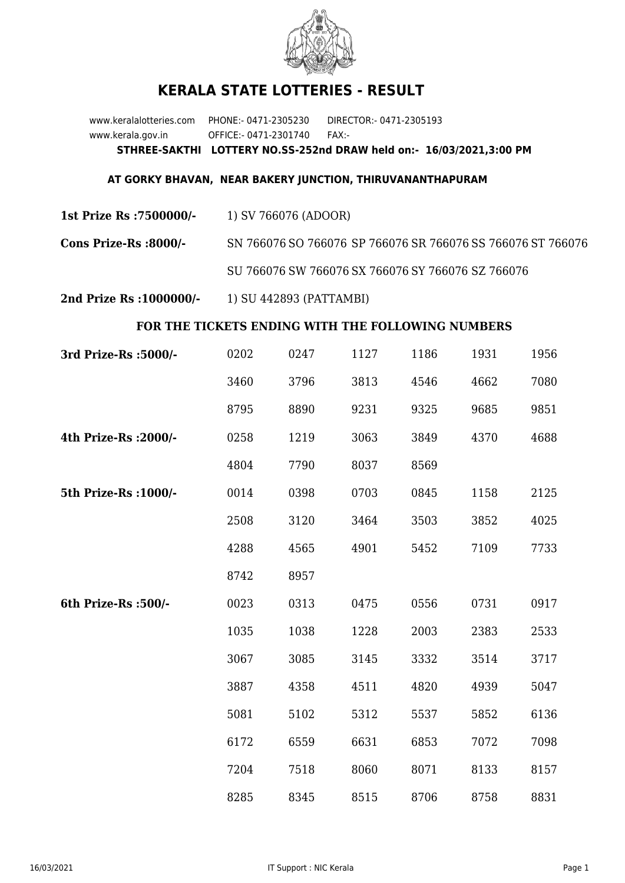

## **KERALA STATE LOTTERIES - RESULT**

www.keralalotteries.com PHONE:- 0471-2305230 DIRECTOR:- 0471-2305193 www.kerala.gov.in OFFICE:- 0471-2301740 FAX:- **STHREE-SAKTHI LOTTERY NO.SS-252nd DRAW held on:- 16/03/2021,3:00 PM**

## **AT GORKY BHAVAN, NEAR BAKERY JUNCTION, THIRUVANANTHAPURAM**

**1st Prize Rs :7500000/-** 1) SV 766076 (ADOOR)

**Cons Prize-Rs :8000/-** SN 766076 SO 766076 SP 766076 SR 766076 SS 766076 ST 766076

SU 766076 SW 766076 SX 766076 SY 766076 SZ 766076

**2nd Prize Rs :1000000/-** 1) SU 442893 (PATTAMBI)

## **FOR THE TICKETS ENDING WITH THE FOLLOWING NUMBERS**

| 3rd Prize-Rs : 5000/- | 0202 | 0247 | 1127 | 1186 | 1931 | 1956 |
|-----------------------|------|------|------|------|------|------|
|                       | 3460 | 3796 | 3813 | 4546 | 4662 | 7080 |
|                       | 8795 | 8890 | 9231 | 9325 | 9685 | 9851 |
| 4th Prize-Rs : 2000/- | 0258 | 1219 | 3063 | 3849 | 4370 | 4688 |
|                       | 4804 | 7790 | 8037 | 8569 |      |      |
| 5th Prize-Rs : 1000/- | 0014 | 0398 | 0703 | 0845 | 1158 | 2125 |
|                       | 2508 | 3120 | 3464 | 3503 | 3852 | 4025 |
|                       | 4288 | 4565 | 4901 | 5452 | 7109 | 7733 |
|                       | 8742 | 8957 |      |      |      |      |
| 6th Prize-Rs :500/-   | 0023 | 0313 | 0475 | 0556 | 0731 | 0917 |
|                       | 1035 | 1038 | 1228 | 2003 | 2383 | 2533 |
|                       | 3067 | 3085 | 3145 | 3332 | 3514 | 3717 |
|                       | 3887 | 4358 | 4511 | 4820 | 4939 | 5047 |
|                       | 5081 | 5102 | 5312 | 5537 | 5852 | 6136 |
|                       | 6172 | 6559 | 6631 | 6853 | 7072 | 7098 |
|                       | 7204 | 7518 | 8060 | 8071 | 8133 | 8157 |
|                       | 8285 | 8345 | 8515 | 8706 | 8758 | 8831 |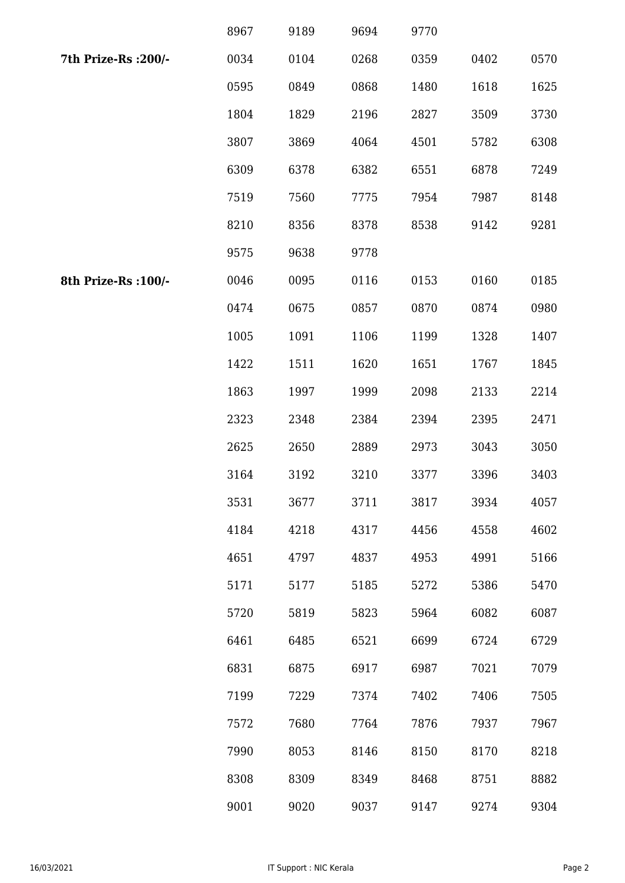|                      | 8967 | 9189 | 9694 | 9770 |      |      |
|----------------------|------|------|------|------|------|------|
| 7th Prize-Rs : 200/- | 0034 | 0104 | 0268 | 0359 | 0402 | 0570 |
|                      | 0595 | 0849 | 0868 | 1480 | 1618 | 1625 |
|                      | 1804 | 1829 | 2196 | 2827 | 3509 | 3730 |
|                      | 3807 | 3869 | 4064 | 4501 | 5782 | 6308 |
|                      | 6309 | 6378 | 6382 | 6551 | 6878 | 7249 |
|                      | 7519 | 7560 | 7775 | 7954 | 7987 | 8148 |
|                      | 8210 | 8356 | 8378 | 8538 | 9142 | 9281 |
|                      | 9575 | 9638 | 9778 |      |      |      |
| 8th Prize-Rs : 100/- | 0046 | 0095 | 0116 | 0153 | 0160 | 0185 |
|                      | 0474 | 0675 | 0857 | 0870 | 0874 | 0980 |
|                      | 1005 | 1091 | 1106 | 1199 | 1328 | 1407 |
|                      | 1422 | 1511 | 1620 | 1651 | 1767 | 1845 |
|                      | 1863 | 1997 | 1999 | 2098 | 2133 | 2214 |
|                      | 2323 | 2348 | 2384 | 2394 | 2395 | 2471 |
|                      | 2625 | 2650 | 2889 | 2973 | 3043 | 3050 |
|                      | 3164 | 3192 | 3210 | 3377 | 3396 | 3403 |
|                      | 3531 | 3677 | 3711 | 3817 | 3934 | 4057 |
|                      | 4184 | 4218 | 4317 | 4456 | 4558 | 4602 |
|                      | 4651 | 4797 | 4837 | 4953 | 4991 | 5166 |
|                      | 5171 | 5177 | 5185 | 5272 | 5386 | 5470 |
|                      | 5720 | 5819 | 5823 | 5964 | 6082 | 6087 |
|                      | 6461 | 6485 | 6521 | 6699 | 6724 | 6729 |
|                      | 6831 | 6875 | 6917 | 6987 | 7021 | 7079 |
|                      | 7199 | 7229 | 7374 | 7402 | 7406 | 7505 |
|                      | 7572 | 7680 | 7764 | 7876 | 7937 | 7967 |
|                      | 7990 | 8053 | 8146 | 8150 | 8170 | 8218 |
|                      | 8308 | 8309 | 8349 | 8468 | 8751 | 8882 |
|                      | 9001 | 9020 | 9037 | 9147 | 9274 | 9304 |